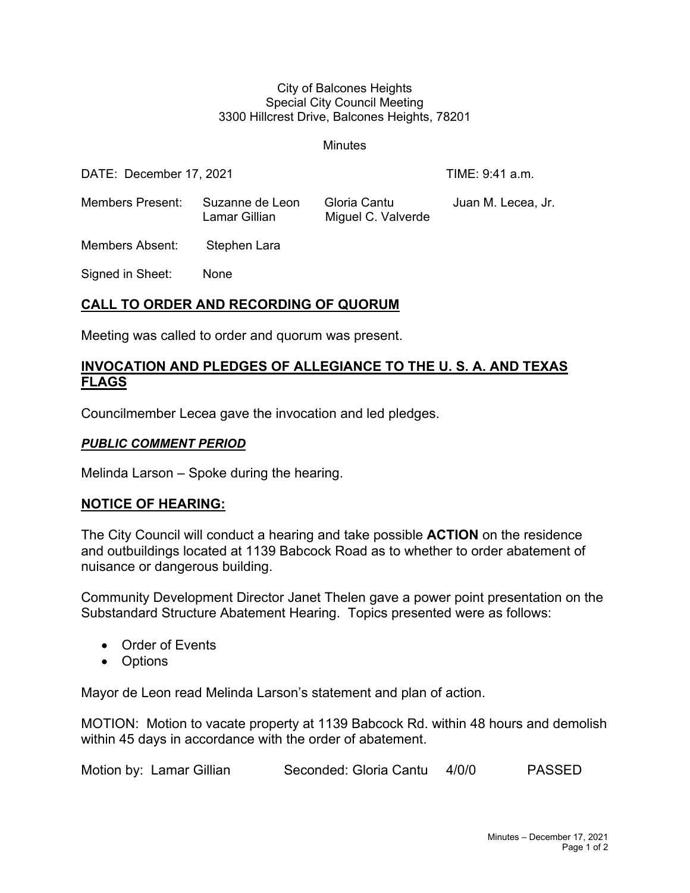#### City of Balcones Heights Special City Council Meeting 3300 Hillcrest Drive, Balcones Heights, 78201

**Minutes** 

| DATE: December 17, 2021 |                                  |                                    | TIME: 9:41 a.m.    |
|-------------------------|----------------------------------|------------------------------------|--------------------|
| Members Present:        | Suzanne de Leon<br>Lamar Gillian | Gloria Cantu<br>Miguel C. Valverde | Juan M. Lecea, Jr. |
| Members Absent:         | Stephen Lara                     |                                    |                    |

Signed in Sheet: None

### **CALL TO ORDER AND RECORDING OF QUORUM**

Meeting was called to order and quorum was present.

## **INVOCATION AND PLEDGES OF ALLEGIANCE TO THE U. S. A. AND TEXAS FLAGS**

Councilmember Lecea gave the invocation and led pledges.

### *PUBLIC COMMENT PERIOD*

Melinda Larson – Spoke during the hearing.

### **NOTICE OF HEARING:**

The City Council will conduct a hearing and take possible **ACTION** on the residence and outbuildings located at 1139 Babcock Road as to whether to order abatement of nuisance or dangerous building.

Community Development Director Janet Thelen gave a power point presentation on the Substandard Structure Abatement Hearing. Topics presented were as follows:

- Order of Events
- Options

Mayor de Leon read Melinda Larson's statement and plan of action.

MOTION: Motion to vacate property at 1139 Babcock Rd. within 48 hours and demolish within 45 days in accordance with the order of abatement.

| Motion by: Lamar Gillian | Seconded: Gloria Cantu 4/0/0 |  | PASSED |
|--------------------------|------------------------------|--|--------|
|--------------------------|------------------------------|--|--------|